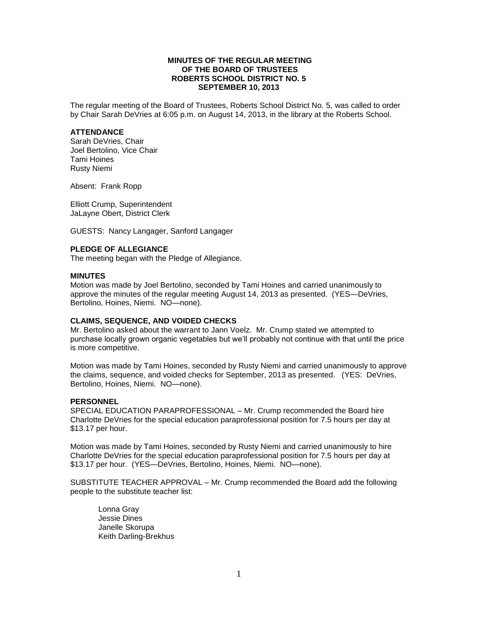# **MINUTES OF THE REGULAR MEETING OF THE BOARD OF TRUSTEES ROBERTS SCHOOL DISTRICT NO. 5 SEPTEMBER 10, 2013**

The regular meeting of the Board of Trustees, Roberts School District No. 5, was called to order by Chair Sarah DeVries at 6:05 p.m. on August 14, 2013, in the library at the Roberts School.

## **ATTENDANCE**

Sarah DeVries, Chair Joel Bertolino, Vice Chair Tami Hoines Rusty Niemi

Absent: Frank Ropp

Elliott Crump, Superintendent JaLayne Obert, District Clerk

GUESTS: Nancy Langager, Sanford Langager

# **PLEDGE OF ALLEGIANCE**

The meeting began with the Pledge of Allegiance.

## **MINUTES**

Motion was made by Joel Bertolino, seconded by Tami Hoines and carried unanimously to approve the minutes of the regular meeting August 14, 2013 as presented. (YES—DeVries, Bertolino, Hoines, Niemi. NO—none).

## **CLAIMS, SEQUENCE, AND VOIDED CHECKS**

Mr. Bertolino asked about the warrant to Jann Voelz. Mr. Crump stated we attempted to purchase locally grown organic vegetables but we'll probably not continue with that until the price is more competitive.

Motion was made by Tami Hoines, seconded by Rusty Niemi and carried unanimously to approve the claims, sequence, and voided checks for September, 2013 as presented. (YES: DeVries, Bertolino, Hoines, Niemi. NO—none).

#### **PERSONNEL**

SPECIAL EDUCATION PARAPROFESSIONAL – Mr. Crump recommended the Board hire Charlotte DeVries for the special education paraprofessional position for 7.5 hours per day at \$13.17 per hour.

Motion was made by Tami Hoines, seconded by Rusty Niemi and carried unanimously to hire Charlotte DeVries for the special education paraprofessional position for 7.5 hours per day at \$13.17 per hour. (YES—DeVries, Bertolino, Hoines, Niemi. NO—none).

SUBSTITUTE TEACHER APPROVAL – Mr. Crump recommended the Board add the following people to the substitute teacher list:

Lonna Gray Jessie Dines Janelle Skorupa Keith Darling-Brekhus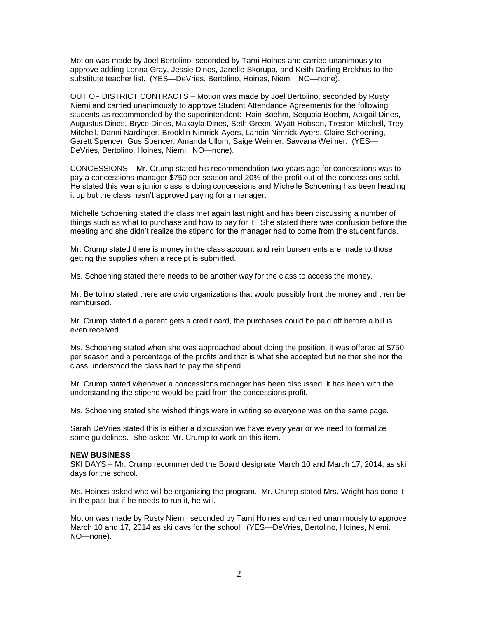Motion was made by Joel Bertolino, seconded by Tami Hoines and carried unanimously to approve adding Lonna Gray, Jessie Dines, Janelle Skorupa, and Keith Darling-Brekhus to the substitute teacher list. (YES—DeVries, Bertolino, Hoines, Niemi. NO—none).

OUT OF DISTRICT CONTRACTS – Motion was made by Joel Bertolino, seconded by Rusty Niemi and carried unanimously to approve Student Attendance Agreements for the following students as recommended by the superintendent: Rain Boehm, Sequoia Boehm, Abigail Dines, Augustus Dines, Bryce Dines, Makayla Dines, Seth Green, Wyatt Hobson, Treston Mitchell, Trey Mitchell, Danni Nardinger, Brooklin Nimrick-Ayers, Landin Nimrick-Ayers, Claire Schoening, Garett Spencer, Gus Spencer, Amanda Ullom, Saige Weimer, Savvana Weimer. (YES— DeVries, Bertolino, Hoines, Niemi. NO—none).

CONCESSIONS – Mr. Crump stated his recommendation two years ago for concessions was to pay a concessions manager \$750 per season and 20% of the profit out of the concessions sold. He stated this year's junior class is doing concessions and Michelle Schoening has been heading it up but the class hasn't approved paying for a manager.

Michelle Schoening stated the class met again last night and has been discussing a number of things such as what to purchase and how to pay for it. She stated there was confusion before the meeting and she didn't realize the stipend for the manager had to come from the student funds.

Mr. Crump stated there is money in the class account and reimbursements are made to those getting the supplies when a receipt is submitted.

Ms. Schoening stated there needs to be another way for the class to access the money.

Mr. Bertolino stated there are civic organizations that would possibly front the money and then be reimbursed.

Mr. Crump stated if a parent gets a credit card, the purchases could be paid off before a bill is even received.

Ms. Schoening stated when she was approached about doing the position, it was offered at \$750 per season and a percentage of the profits and that is what she accepted but neither she nor the class understood the class had to pay the stipend.

Mr. Crump stated whenever a concessions manager has been discussed, it has been with the understanding the stipend would be paid from the concessions profit.

Ms. Schoening stated she wished things were in writing so everyone was on the same page.

Sarah DeVries stated this is either a discussion we have every year or we need to formalize some guidelines. She asked Mr. Crump to work on this item.

## **NEW BUSINESS**

SKI DAYS – Mr. Crump recommended the Board designate March 10 and March 17, 2014, as ski days for the school.

Ms. Hoines asked who will be organizing the program. Mr. Crump stated Mrs. Wright has done it in the past but if he needs to run it, he will.

Motion was made by Rusty Niemi, seconded by Tami Hoines and carried unanimously to approve March 10 and 17, 2014 as ski days for the school. (YES—DeVries, Bertolino, Hoines, Niemi. NO—none).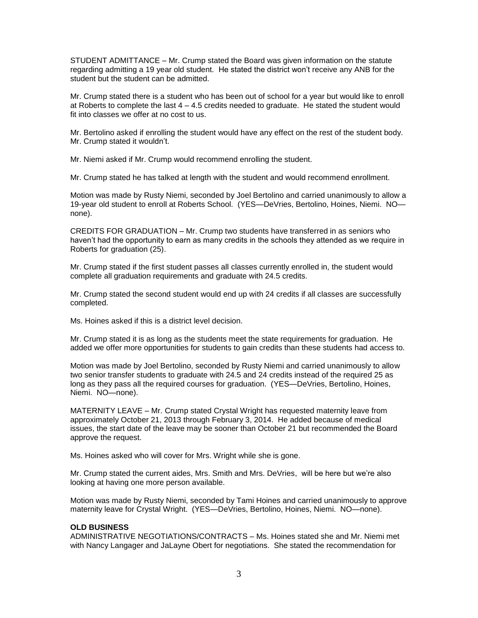STUDENT ADMITTANCE – Mr. Crump stated the Board was given information on the statute regarding admitting a 19 year old student. He stated the district won't receive any ANB for the student but the student can be admitted.

Mr. Crump stated there is a student who has been out of school for a year but would like to enroll at Roberts to complete the last  $4 - 4.5$  credits needed to graduate. He stated the student would fit into classes we offer at no cost to us.

Mr. Bertolino asked if enrolling the student would have any effect on the rest of the student body. Mr. Crump stated it wouldn't.

Mr. Niemi asked if Mr. Crump would recommend enrolling the student.

Mr. Crump stated he has talked at length with the student and would recommend enrollment.

Motion was made by Rusty Niemi, seconded by Joel Bertolino and carried unanimously to allow a 19-year old student to enroll at Roberts School. (YES—DeVries, Bertolino, Hoines, Niemi. NO none).

CREDITS FOR GRADUATION – Mr. Crump two students have transferred in as seniors who haven't had the opportunity to earn as many credits in the schools they attended as we require in Roberts for graduation (25).

Mr. Crump stated if the first student passes all classes currently enrolled in, the student would complete all graduation requirements and graduate with 24.5 credits.

Mr. Crump stated the second student would end up with 24 credits if all classes are successfully completed.

Ms. Hoines asked if this is a district level decision.

Mr. Crump stated it is as long as the students meet the state requirements for graduation. He added we offer more opportunities for students to gain credits than these students had access to.

Motion was made by Joel Bertolino, seconded by Rusty Niemi and carried unanimously to allow two senior transfer students to graduate with 24.5 and 24 credits instead of the required 25 as long as they pass all the required courses for graduation. (YES—DeVries, Bertolino, Hoines, Niemi. NO—none).

MATERNITY LEAVE – Mr. Crump stated Crystal Wright has requested maternity leave from approximately October 21, 2013 through February 3, 2014. He added because of medical issues, the start date of the leave may be sooner than October 21 but recommended the Board approve the request.

Ms. Hoines asked who will cover for Mrs. Wright while she is gone.

Mr. Crump stated the current aides, Mrs. Smith and Mrs. DeVries, will be here but we're also looking at having one more person available.

Motion was made by Rusty Niemi, seconded by Tami Hoines and carried unanimously to approve maternity leave for Crystal Wright. (YES—DeVries, Bertolino, Hoines, Niemi. NO—none).

# **OLD BUSINESS**

ADMINISTRATIVE NEGOTIATIONS/CONTRACTS – Ms. Hoines stated she and Mr. Niemi met with Nancy Langager and JaLayne Obert for negotiations. She stated the recommendation for